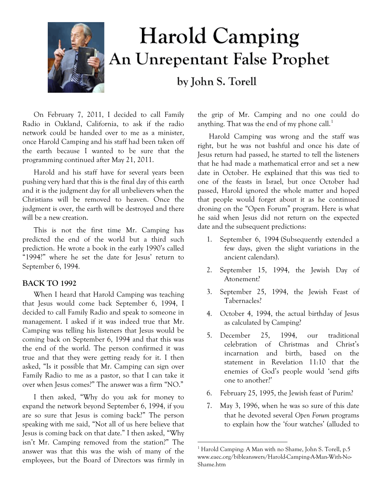

# **Harold Camping** An Unrepentant False Prophet

by John S. Torell

On February 7, 2011, I decided to call Family Radio in Oakland, California, to ask if the radio network could be handed over to me as a minister, once Harold Camping and his staff had been taken off the earth because I wanted to be sure that the programming continued after May 21, 2011.

Harold and his staff have for several years been pushing very hard that this is the final day of this earth and it is the judgment day for all unbelievers when the Christians will be removed to heaven. Once the judgment is over, the earth will be destroyed and there will be a new creation.

This is not the first time Mr. Camping has predicted the end of the world but a third such prediction. He wrote a book in the early 1990's called "1994?" where he set the date for Jesus' return to September 6, 1994.

## **BACK TO 1992**

When I heard that Harold Camping was teaching that Jesus would come back September 6, 1994, I decided to call Family Radio and speak to someone in management. I asked if it was indeed true that Mr. Camping was telling his listeners that Jesus would be coming back on September 6, 1994 and that this was the end of the world. The person confirmed it was true and that they were getting ready for it. I then asked, "Is it possible that Mr. Camping can sign over Family Radio to me as a pastor, so that I can take it over when Jesus comes?" The answer was a firm "NO."

<span id="page-0-0"></span>I then asked, "Why do you ask for money to expand the network beyond September 6, 1994, if you are so sure that Jesus is coming back?" The person speaking with me said, "Not all of us here believe that Jesus is coming back on that date." I then asked, "Why isn't Mr. Camping removed from the station?" The answer was that this was the wish of many of the employees, but the Board of Directors was firmly in

the grip of Mr. Camping and no one could do anything. That was the end of my phone call. $<sup>1</sup>$  $<sup>1</sup>$  $<sup>1</sup>$ </sup>

Harold Camping was wrong and the staff was right, but he was not bashful and once his date of Jesus return had passed, he started to tell the listeners that he had made a mathematical error and set a new date in October. He explained that this was tied to one of the feasts in Israel, but once October had passed, Harold ignored the whole matter and hoped that people would forget about it as he continued droning on the "Open Forum" program. Here is what he said when Jesus did not return on the expected date and the subsequent predictions:

- 1. September 6, 1994 (Subsequently extended a few days, given the slight variations in the ancient calendars).
- 2. September 15, 1994, the Jewish Day of Atonement?
- 3. September 25, 1994, the Jewish Feast of Tabernacles?
- 4. October 4, 1994, the actual birthday of Jesus as calculated by Camping?
- 5. December 25, 1994, our traditional celebration of Christmas and Christ's incarnation and birth, based on the statement in Revelation 11:10 that the enemies of God's people would 'send gifts one to another?'
- 6. February 25, 1995, the Jewish feast of Purim?
- 7. May 3, 1996, when he was so sure of this date that he devoted several *Open Forum* programs to explain how the 'four watches' (alluded to

 $\overline{a}$ 

<sup>&</sup>lt;sup>1</sup> Harold Camping: A Man with no Shame, John S. Torell, p.5 www.eaec.org/bibleanswers/Harold-Camping-A-Man-With-No-Shame.htm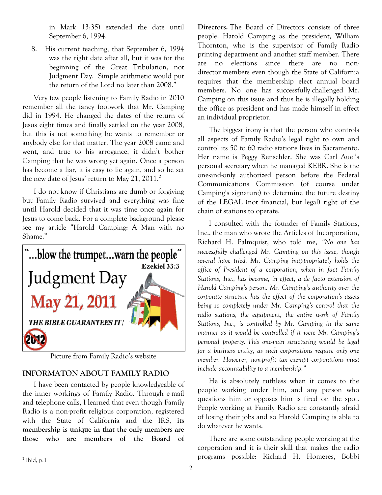in Mark 13:35) extended the date until September 6, 1994.

8. His current teaching, that September 6, 1994 was the right date after all, but it was for the beginning of the Great Tribulation, not Judgment Day. Simple arithmetic would put the return of the Lord no later than 2008."

Very few people listening to Family Radio in 2010 remember all the fancy footwork that Mr. Camping did in 1994. He changed the dates of the return of Jesus eight times and finally settled on the year 2008, but this is not something he wants to remember or anybody else for that matter. The year 2008 came and went, and true to his arrogance, it didn't bother Camping that he was wrong yet again. Once a person has become a liar, it is easy to lie again, and so he set the new date of Jesus' return to May [2](#page-1-0)1, 2011.<sup>2</sup>

I do not know if Christians are dumb or forgiving but Family Radio survived and everything was fine until Harold decided that it was time once again for Jesus to come back. For a complete background please see my article "Harold Camping: A Man with no Shame."



Picture from Family Radio's website

# **INFORMATON ABOUT FAMILY RADIO**

I have been contacted by people knowledgeable of the inner workings of Family Radio. Through e-mail and telephone calls, I learned that even though Family Radio is a non-profit religious corporation, registered with the State of California and the IRS, **its membership is unique in that the only members are those who are members of the Board of**  **Directors.** The Board of Directors consists of three people: Harold Camping as the president, William Thornton, who is the supervisor of Family Radio printing department and another staff member. There are no elections since there are no nondirector members even though the State of California requires that the membership elect annual board members. No one has successfully challenged Mr. Camping on this issue and thus he is illegally holding the office as president and has made himself in effect an individual proprietor.

The biggest irony is that the person who controls all aspects of Family Radio's legal right to own and control its 50 to 60 radio stations lives in Sacramento. Her name is Peggy Renschler. She was Carl Auel's personal secretary when he managed KEBR. She is the one-and-only authorized person before the Federal Communications Commission (of course under Camping's signature) to determine the future destiny of the LEGAL (not financial, but legal) right of the chain of stations to operate.

I consulted with the founder of Family Stations, Inc., the man who wrote the Articles of Incorporation, Richard H. Palmquist, who told me, *"No one has successfully challenged Mr. Camping on this issue, though several have tried. Mr. Camping inappropriately holds the office of President of a corporation, when in fact Family Stations, Inc., has become, in effect, a de facto extension of Harold Camping's person. Mr. Camping's authority over the corporate structure has the effect of the corporation's assets being so completely under Mr. Camping's control that the radio stations, the equipment, the entire work of Family Stations, Inc., is controlled by Mr. Camping in the same manner as it would be controlled if it were Mr. Camping's personal property. This one-man structuring would be legal for a business entity, as such corporations require only one member. However, non-profit tax exempt corporations must include accountability to a membership."*

He is absolutely ruthless when it comes to the people working under him, and any person who questions him or opposes him is fired on the spot. People working at Family Radio are constantly afraid of losing their jobs and so Harold Camping is able to do whatever he wants.

There are some outstanding people working at the corporation and it is their skill that makes the radio programs possible: Richard H. Homeres, Bobbi

<span id="page-1-0"></span> $\overline{a}$  $<sup>2</sup>$  Ibid, p.1</sup>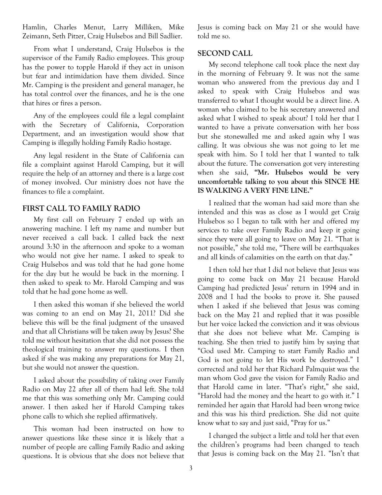Hamlin, Charles Menut, Larry Milliken, Mike Zeimann, Seth Pitzer, Craig Hulsebos and Bill Sadlier.

From what I understand, Craig Hulsebos is the supervisor of the Family Radio employees. This group has the power to topple Harold if they act in unison but fear and intimidation have them divided. Since Mr. Camping is the president and general manager, he has total control over the finances, and he is the one that hires or fires a person.

Any of the employees could file a legal complaint with the Secretary of California, Corporation Department, and an investigation would show that Camping is illegally holding Family Radio hostage.

Any legal resident in the State of California can file a complaint against Harold Camping, but it will require the help of an attorney and there is a large cost of money involved. Our ministry does not have the finances to file a complaint.

## **FIRST CALL TO FAMILY RADIO**

My first call on February 7 ended up with an answering machine. I left my name and number but never received a call back. I called back the next around 3:30 in the afternoon and spoke to a woman who would not give her name. I asked to speak to Craig Hulsebos and was told that he had gone home for the day but he would be back in the morning. I then asked to speak to Mr. Harold Camping and was told that he had gone home as well.

I then asked this woman if she believed the world was coming to an end on May 21, 2011? Did she believe this will be the final judgment of the unsaved and that all Christians will be taken away by Jesus? She told me without hesitation that she did not possess the theological training to answer my questions. I then asked if she was making any preparations for May 21, but she would not answer the question.

I asked about the possibility of taking over Family Radio on May 22 after all of them had left. She told me that this was something only Mr. Camping could answer. I then asked her if Harold Camping takes phone calls to which she replied affirmatively.

This woman had been instructed on how to answer questions like these since it is likely that a number of people are calling Family Radio and asking questions. It is obvious that she does not believe that Jesus is coming back on May 21 or she would have told me so.

#### **SECOND CALL**

My second telephone call took place the next day in the morning of February 9. It was not the same woman who answered from the previous day and I asked to speak with Craig Hulsebos and was transferred to what I thought would be a direct line. A woman who claimed to be his secretary answered and asked what I wished to speak about? I told her that I wanted to have a private conversation with her boss but she stonewalled me and asked again why I was calling. It was obvious she was not going to let me speak with him. So I told her that I wanted to talk about the future. The conversation got very interesting when she said, **"Mr. Hulsebos would be very uncomfortable talking to you about this SINCE HE IS WALKING A VERY FINE LINE."**

I realized that the woman had said more than she intended and this was as close as I would get Craig Hulsebos so I began to talk with her and offered my services to take over Family Radio and keep it going since they were all going to leave on May 21. "That is not possible," she told me, "There will be earthquakes and all kinds of calamities on the earth on that day."

I then told her that I did not believe that Jesus was going to come back on May 21 because Harold Camping had predicted Jesus' return in 1994 and in 2008 and I had the books to prove it. She paused when I asked if she believed that Jesus was coming back on the May 21 and replied that it was possible but her voice lacked the conviction and it was obvious that she does not believe what Mr. Camping is teaching. She then tried to justify him by saying that "God used Mr. Camping to start Family Radio and God is not going to let His work be destroyed." I corrected and told her that Richard Palmquist was the man whom God gave the vision for Family Radio and that Harold came in later. "That's right," she said, "Harold had the money and the heart to go with it." I reminded her again that Harold had been wrong twice and this was his third prediction. She did not quite know what to say and just said, "Pray for us."

I changed the subject a little and told her that even the children's programs had been changed to teach that Jesus is coming back on the May 21. "Isn't that